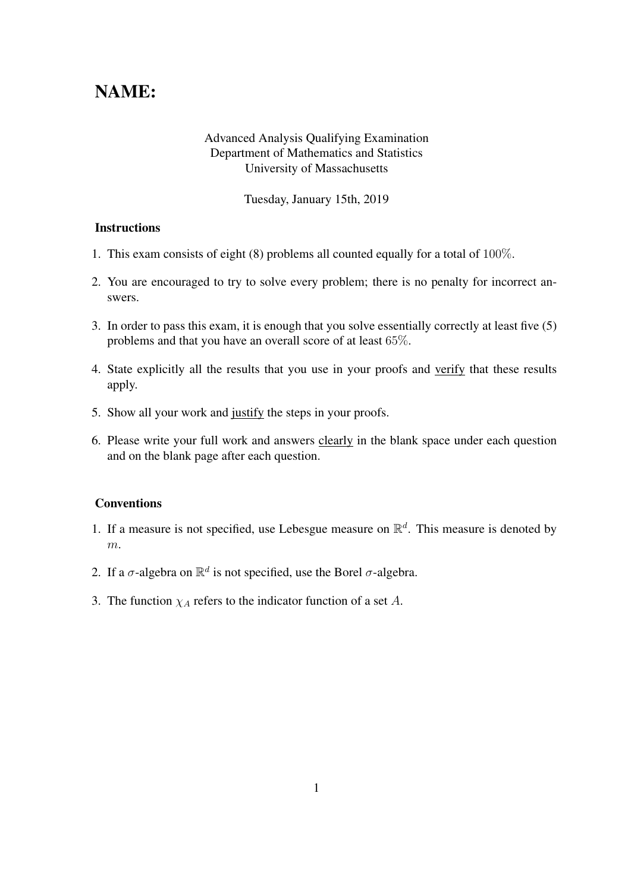## NAME:

## Advanced Analysis Qualifying Examination Department of Mathematics and Statistics University of Massachusetts

Tuesday, January 15th, 2019

## **Instructions**

- 1. This exam consists of eight (8) problems all counted equally for a total of 100%.
- 2. You are encouraged to try to solve every problem; there is no penalty for incorrect answers.
- 3. In order to pass this exam, it is enough that you solve essentially correctly at least five (5) problems and that you have an overall score of at least 65%.
- 4. State explicitly all the results that you use in your proofs and verify that these results apply.
- 5. Show all your work and justify the steps in your proofs.
- 6. Please write your full work and answers clearly in the blank space under each question and on the blank page after each question.

## **Conventions**

- 1. If a measure is not specified, use Lebesgue measure on  $\mathbb{R}^d$ . This measure is denoted by m.
- 2. If a  $\sigma$ -algebra on  $\mathbb{R}^d$  is not specified, use the Borel  $\sigma$ -algebra.
- 3. The function  $\chi_A$  refers to the indicator function of a set A.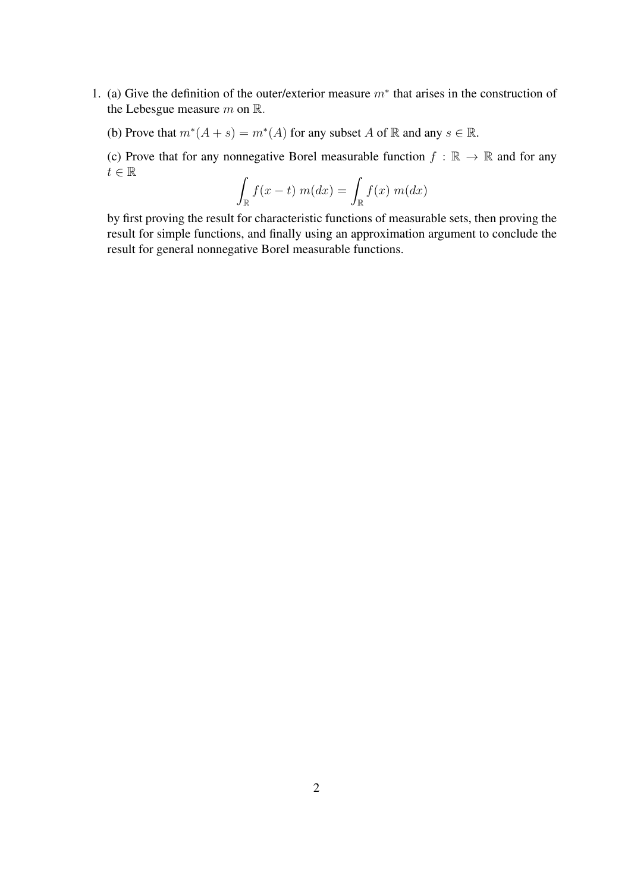1. (a) Give the definition of the outer/exterior measure  $m^*$  that arises in the construction of the Lebesgue measure  $m$  on  $\mathbb{R}$ .

(b) Prove that  $m^*(A + s) = m^*(A)$  for any subset A of R and any  $s \in \mathbb{R}$ .

(c) Prove that for any nonnegative Borel measurable function  $f : \mathbb{R} \to \mathbb{R}$  and for any  $t\in\mathbb{R}$ 

$$
\int_{\mathbb{R}} f(x - t) m(dx) = \int_{\mathbb{R}} f(x) m(dx)
$$

by first proving the result for characteristic functions of measurable sets, then proving the result for simple functions, and finally using an approximation argument to conclude the result for general nonnegative Borel measurable functions.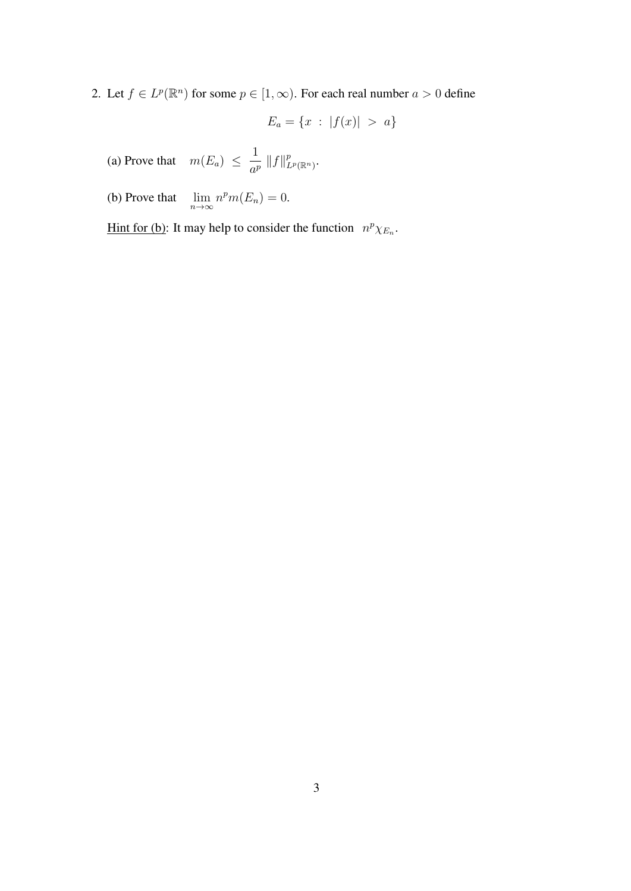2. Let  $f \in L^p(\mathbb{R}^n)$  for some  $p \in [1,\infty)$ . For each real number  $a > 0$  define

$$
E_a = \{x : |f(x)| > a\}
$$

(a) Prove that  $m(E_a) \leq \frac{1}{\epsilon^2}$  $\frac{1}{a^p}$   $\|f\|_{L^p(\mathbb{R}^n)}^p$ .

(b) Prove that  $\lim_{n \to \infty} n^p m(E_n) = 0.$ 

Hint for (b): It may help to consider the function  $n^p \chi_{E_n}$ .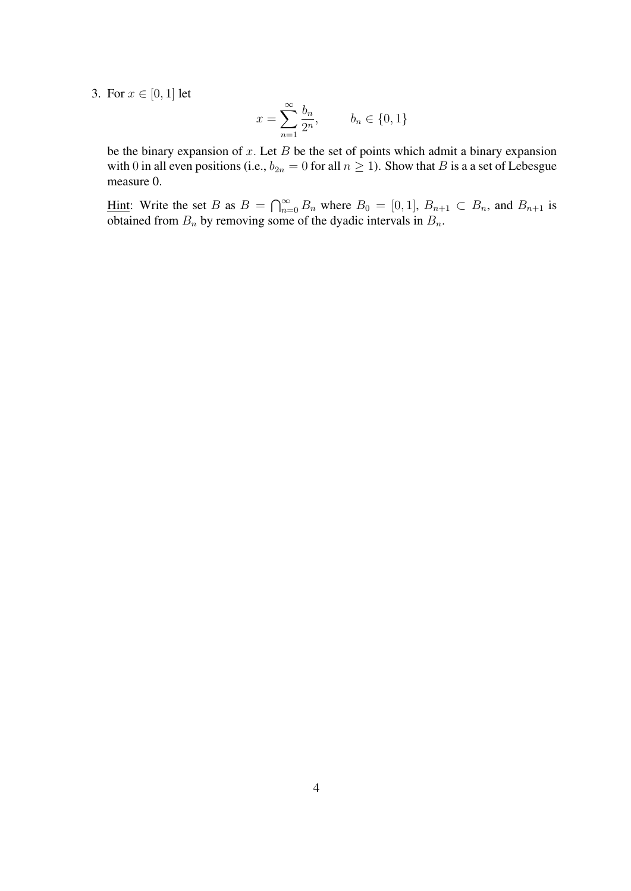3. For  $x \in [0, 1]$  let

$$
x = \sum_{n=1}^{\infty} \frac{b_n}{2^n}, \qquad b_n \in \{0, 1\}
$$

be the binary expansion of  $x$ . Let  $B$  be the set of points which admit a binary expansion with 0 in all even positions (i.e.,  $b_{2n} = 0$  for all  $n \ge 1$ ). Show that B is a a set of Lebesgue measure 0.

Hint: Write the set B as  $B = \bigcap_{n=0}^{\infty} B_n$  where  $B_0 = [0, 1], B_{n+1} \subset B_n$ , and  $B_{n+1}$  is obtained from  $B_n$  by removing some of the dyadic intervals in  $B_n$ .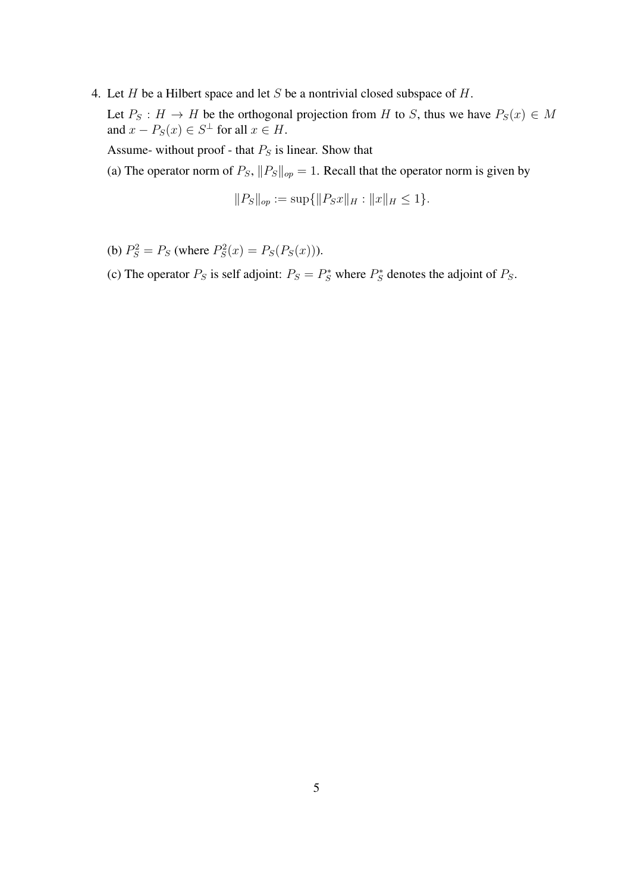4. Let  $H$  be a Hilbert space and let  $S$  be a nontrivial closed subspace of  $H$ .

Let  $P_S : H \to H$  be the orthogonal projection from H to S, thus we have  $P_S(x) \in M$ and  $x - P_S(x) \in S^{\perp}$  for all  $x \in H$ .

Assume- without proof - that  $P_S$  is linear. Show that

(a) The operator norm of  $P_S$ ,  $||P_S||_{op} = 1$ . Recall that the operator norm is given by

$$
||P_S||_{op} := \sup\{||P_Sx||_H : ||x||_H \le 1\}.
$$

- (b)  $P_S^2 = P_S$  (where  $P_S^2(x) = P_S(P_S(x))$ ).
- (c) The operator  $P_S$  is self adjoint:  $P_S = P_S^*$  where  $P_S^*$  denotes the adjoint of  $P_S$ .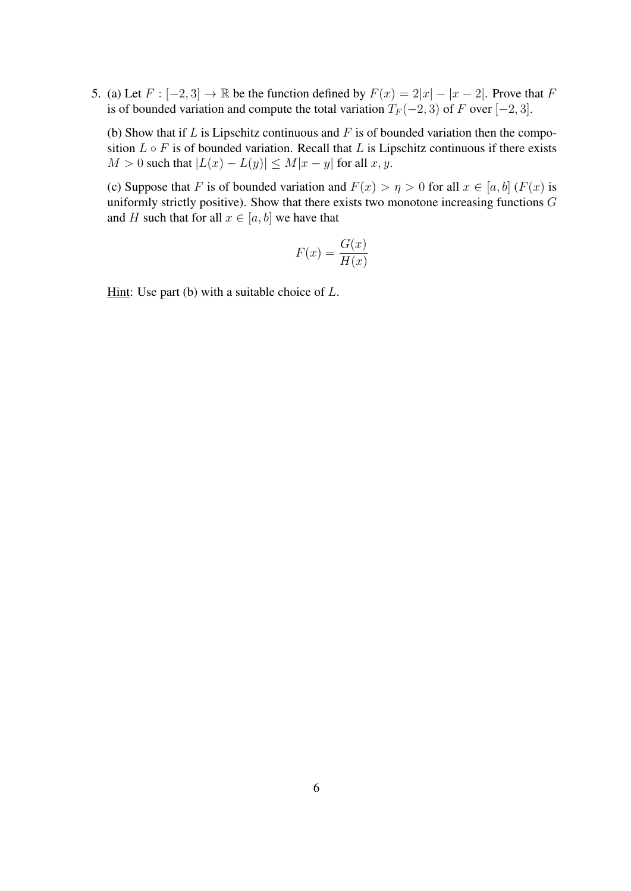5. (a) Let  $F : [-2, 3] \rightarrow \mathbb{R}$  be the function defined by  $F(x) = 2|x| - |x - 2|$ . Prove that F is of bounded variation and compute the total variation  $T_F(-2, 3)$  of F over [−2, 3].

(b) Show that if  $L$  is Lipschitz continuous and  $F$  is of bounded variation then the composition  $L \circ F$  is of bounded variation. Recall that L is Lipschitz continuous if there exists  $M > 0$  such that  $|L(x) - L(y)| \le M|x - y|$  for all  $x, y$ .

(c) Suppose that F is of bounded variation and  $F(x) > \eta > 0$  for all  $x \in [a, b]$  ( $F(x)$  is uniformly strictly positive). Show that there exists two monotone increasing functions  $G$ and H such that for all  $x \in [a, b]$  we have that

$$
F(x) = \frac{G(x)}{H(x)}
$$

Hint: Use part (b) with a suitable choice of  $L$ .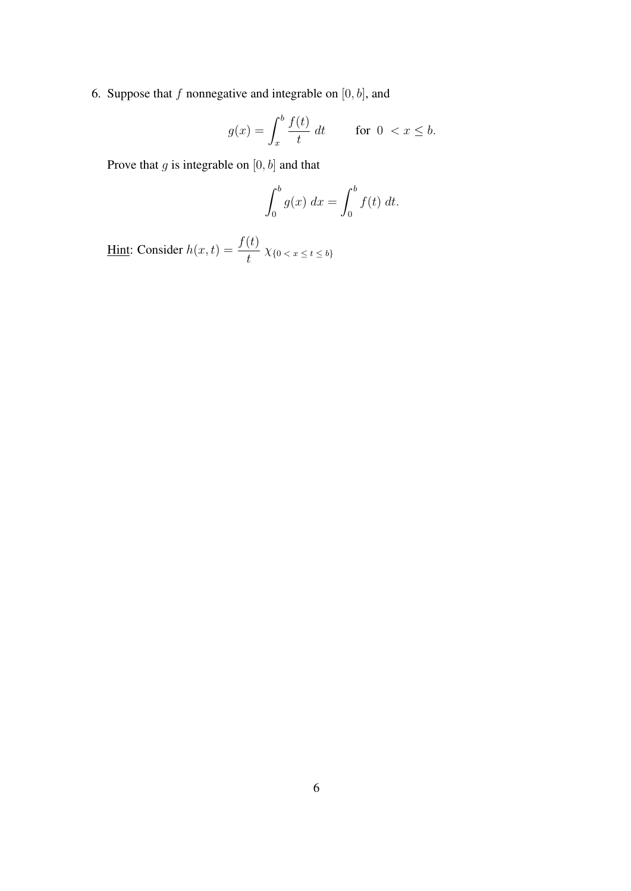6. Suppose that  $f$  nonnegative and integrable on  $[0, b]$ , and

$$
g(x) = \int_x^b \frac{f(t)}{t} dt \qquad \text{for } 0 < x \le b.
$$

Prove that  $g$  is integrable on  $[0, b]$  and that

$$
\int_0^b g(x) \ dx = \int_0^b f(t) \ dt.
$$

<u>Hint</u>: Consider  $h(x,t) = \frac{f(t)}{t} \chi_{\{0 \lt x \le t \le b\}}$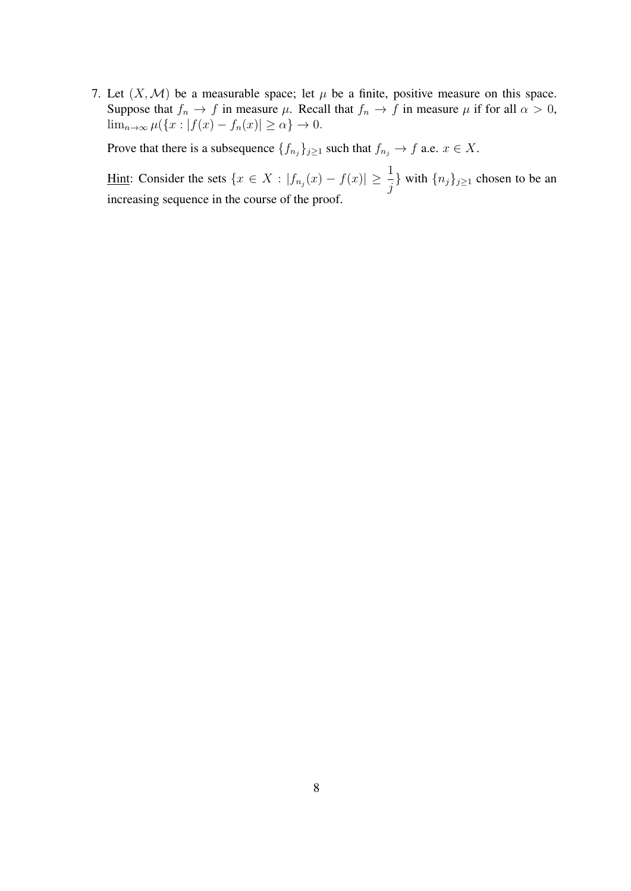7. Let  $(X, \mathcal{M})$  be a measurable space; let  $\mu$  be a finite, positive measure on this space. Suppose that  $f_n \to f$  in measure  $\mu$ . Recall that  $f_n \to f$  in measure  $\mu$  if for all  $\alpha > 0$ ,  $\lim_{n\to\infty}\mu(\lbrace x: |f(x)-f_n(x)|\geq\alpha\rbrace\to 0.$ 

Prove that there is a subsequence  $\{f_{n_j}\}_{j\geq 1}$  such that  $f_{n_j} \to f$  a.e.  $x \in X$ .

Hint: Consider the sets  $\{x \in X : |f_{n_j}(x) - f(x)| \geq \frac{1}{n_j}\}$  $\frac{1}{j}$ } with  $\{n_j\}_{j\geq 1}$  chosen to be an increasing sequence in the course of the proof.